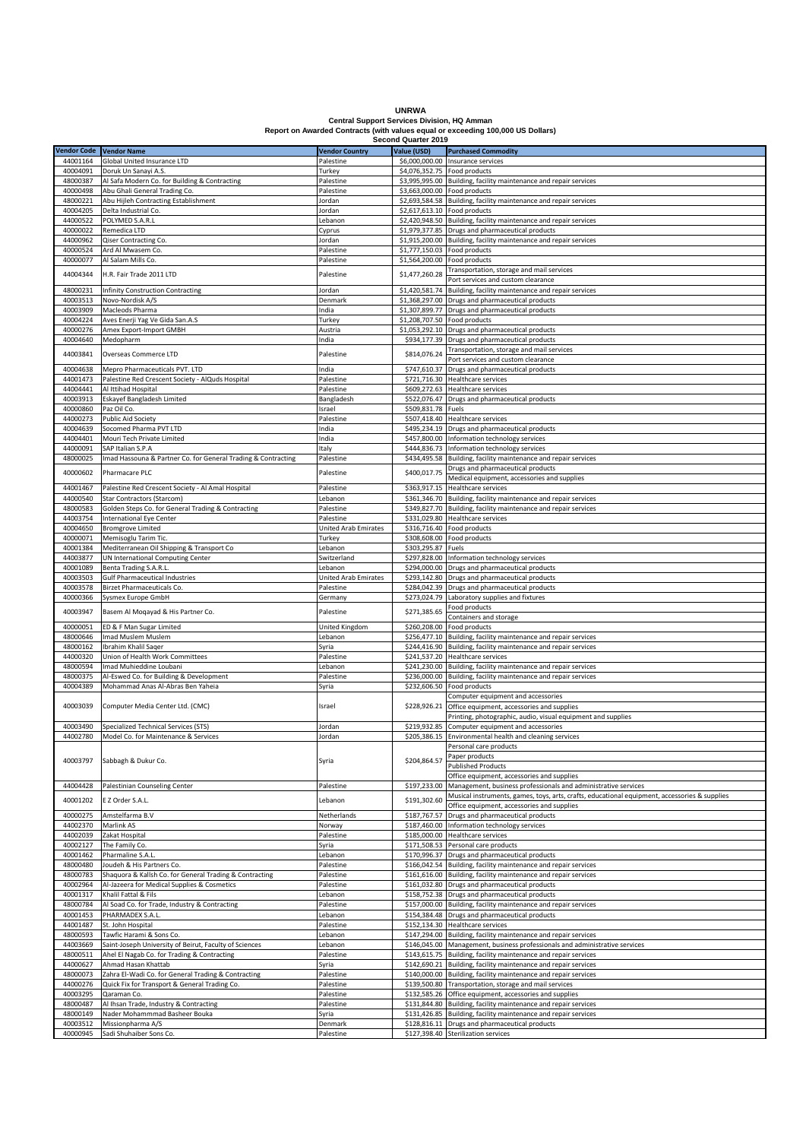**UNRWA Central Support Services Division, HQ Amman Report on Awarded Contracts (with values equal or exceeding 100,000 US Dollars)**

|                         |                                                               |                             | <b>Second Quarter 2019</b>   |                                                                                               |
|-------------------------|---------------------------------------------------------------|-----------------------------|------------------------------|-----------------------------------------------------------------------------------------------|
| Vendor Code Vendor Name |                                                               | <b>Vendor Country</b>       | Value (USD)                  | <b>Purchased Commodity</b>                                                                    |
| 44001164                | Global United Insurance LTD                                   | Palestine                   | \$6,000,000.00               | Insurance services                                                                            |
| 40004091                | Doruk Un Sanayi A.S.                                          | Turkey                      | \$4,076,352.75 Food products |                                                                                               |
|                         |                                                               |                             |                              |                                                                                               |
| 48000387                | Al Safa Modern Co. for Building & Contracting                 | Palestine                   |                              | \$3,995,995.00 Building, facility maintenance and repair services                             |
| 40000498                | Abu Ghali General Trading Co.                                 | Palestine                   | \$3,663,000.00 Food products |                                                                                               |
| 48000221                | Abu Hijleh Contracting Establishment                          | Jordan                      | \$2,693,584.58               | Building, facility maintenance and repair services                                            |
| 40004205                | Delta Industrial Co.                                          | Jordan                      |                              | \$2,617,613.10 Food products                                                                  |
| 44000522                | POLYMED S.A.R.L                                               |                             | \$2,420,948.50               |                                                                                               |
|                         |                                                               | Lebanon                     |                              | Building, facility maintenance and repair services                                            |
| 40000022                | Remedica LTD                                                  | Cyprus                      |                              | \$1,979,377.85 Drugs and pharmaceutical products                                              |
| 44000962                | Qiser Contracting Co.                                         | Jordan                      |                              | \$1,915,200.00 Building, facility maintenance and repair services                             |
| 40000524                | Ard Al Mwasem Co.                                             | Palestine                   |                              | \$1,777,150.03 Food products                                                                  |
| 40000077                | Al Salam Mills Co.                                            | Palestine                   | \$1,564,200.00 Food products |                                                                                               |
|                         |                                                               |                             |                              |                                                                                               |
| 44004344                | H.R. Fair Trade 2011 LTD                                      | Palestine                   | \$1,477,260.28               | Transportation, storage and mail services                                                     |
|                         |                                                               |                             |                              | Port services and custom clearance                                                            |
| 48000231                | <b>Infinity Construction Contracting</b>                      | Jordan                      | \$1,420,581.74               | Building, facility maintenance and repair services                                            |
| 40003513                | Novo-Nordisk A/S                                              | Denmark                     |                              | \$1,368,297.00 Drugs and pharmaceutical products                                              |
|                         |                                                               |                             |                              |                                                                                               |
| 40003909                | Macleods Pharma                                               | India                       | \$1,307,899.77               | Drugs and pharmaceutical products                                                             |
| 40004224                | Aves Enerji Yag Ve Gida San.A.S                               | Turkey                      |                              | \$1,208,707.50 Food products                                                                  |
| 40000276                | Amex Export-Import GMBH                                       | Austria                     |                              | \$1,053,292.10 Drugs and pharmaceutical products                                              |
| 40004640                | Medopharm                                                     | India                       |                              | \$934,177.39 Drugs and pharmaceutical products                                                |
|                         |                                                               |                             |                              |                                                                                               |
| 44003841                | Overseas Commerce LTD                                         | Palestine                   | \$814,076.24                 | Transportation, storage and mail services                                                     |
|                         |                                                               |                             |                              | Port services and custom clearance                                                            |
| 40004638                | Mepro Pharmaceuticals PVT. LTD                                | India                       | \$747,610.37                 | Drugs and pharmaceutical products                                                             |
| 44001473                | Palestine Red Crescent Society - AlQuds Hospital              | Palestine                   | \$721,716.30                 | <b>Healthcare services</b>                                                                    |
|                         |                                                               |                             |                              |                                                                                               |
| 44004441                | Al Ittihad Hospital                                           | Palestine                   | \$609,272.63                 | Healthcare services                                                                           |
| 40003913                | Eskayef Bangladesh Limited                                    | Bangladesh                  | \$522,076.47                 | Drugs and pharmaceutical products                                                             |
| 40000860                | Paz Oil Co.                                                   | Israel                      | \$509,831.78 Fuels           |                                                                                               |
| 44000273                | Public Aid Society                                            | Palestine                   | \$507,418.40                 | <b>Healthcare services</b>                                                                    |
|                         | Socomed Pharma PVT LTD                                        |                             | \$495.234.19                 |                                                                                               |
| 40004639                |                                                               | India                       |                              | Drugs and pharmaceutical products                                                             |
| 44004401                | Mouri Tech Private Limited                                    | India                       |                              | \$457,800.00 Information technology services                                                  |
| 44000091                | SAP Italian S.P.A                                             | Italy                       | \$444,836.73                 | Information technology services                                                               |
| 48000025                | Imad Hassouna & Partner Co. for General Trading & Contracting | Palestine                   |                              | \$434,495.58 Building, facility maintenance and repair services                               |
|                         |                                                               |                             |                              |                                                                                               |
| 40000602                | Pharmacare PLC                                                | Palestine                   | \$400,017.75                 | Drugs and pharmaceutical products                                                             |
|                         |                                                               |                             |                              | Medical equipment, accessories and supplies                                                   |
| 44001467                | Palestine Red Crescent Society - Al Amal Hospital             | Palestine                   | \$363,917.15                 | Healthcare services                                                                           |
| 44000540                | Star Contractors (Starcom)                                    | Lebanon                     |                              | \$361,346.70 Building, facility maintenance and repair services                               |
|                         |                                                               |                             |                              |                                                                                               |
| 48000583                | Golden Steps Co. for General Trading & Contracting            | Palestine                   | \$349,827.70                 | Building, facility maintenance and repair services                                            |
| 44003754                | <b>International Eye Center</b>                               | Palestine                   | \$331,029.80                 | Healthcare services                                                                           |
| 40004650                | <b>Bromgrove Limited</b>                                      | United Arab Emirates        | \$316,716.40                 | Food products                                                                                 |
| 40000071                | Memisoglu Tarim Tic.                                          | Turkey                      | \$308,608.00                 | Food products                                                                                 |
|                         |                                                               |                             |                              |                                                                                               |
| 40001384                | Mediterranean Oil Shipping & Transport Co                     | Lebanon                     | \$303,295.87                 | Fuels                                                                                         |
| 44003877                | UN International Computing Center                             | Switzerland                 | \$297,828.00                 | Information technology services                                                               |
| 40001089                | Benta Trading S.A.R.L.                                        | Lebanon                     |                              | \$294,000.00 Drugs and pharmaceutical products                                                |
| 40003503                | <b>Gulf Pharmaceutical Industries</b>                         | <b>United Arab Emirates</b> | \$293,142.80                 | Drugs and pharmaceutical products                                                             |
| 40003578                | Birzet Pharmaceuticals Co.                                    | Palestine                   |                              | \$284,042.39 Drugs and pharmaceutical products                                                |
|                         |                                                               |                             |                              |                                                                                               |
| 40000366                | Sysmex Europe GmbH                                            | Germany                     | \$273,024.79                 | Laboratory supplies and fixtures                                                              |
|                         |                                                               |                             |                              | Food products                                                                                 |
| 40003947                | Basem Al Moqayad & His Partner Co.                            | Palestine                   | \$271,385.65                 | Containers and storage                                                                        |
| 40000051                | ED & F Man Sugar Limited                                      | <b>United Kingdom</b>       | \$260,208.00                 | Food products                                                                                 |
|                         |                                                               |                             |                              |                                                                                               |
| 48000646                | Imad Muslem Muslem                                            | Lebanon                     |                              | \$256,477.10 Building, facility maintenance and repair services                               |
| 48000162                | Ibrahim Khalil Saqer                                          | Syria                       |                              | \$244,416.90 Building, facility maintenance and repair services                               |
| 44000320                | Union of Health Work Committees                               | Palestine                   | \$241,537.20                 | Healthcare services                                                                           |
| 48000594                | Imad Muhieddine Loubani                                       | Lebanon                     | \$241,230.00                 | Building, facility maintenance and repair services                                            |
| 48000375                | Al-Eswed Co. for Building & Development                       |                             |                              |                                                                                               |
|                         |                                                               | Palestine                   | \$236,000.00                 | Building, facility maintenance and repair services                                            |
| 40004389                | Mohammad Anas Al-Abras Ben Yaheia                             | Syria                       | \$232,606.50                 | Food products                                                                                 |
|                         |                                                               |                             |                              | Computer equipment and accessories                                                            |
| 40003039                | Computer Media Center Ltd. (CMC)                              | Israel                      | \$228,926.21                 | Office equipment, accessories and supplies                                                    |
|                         |                                                               |                             |                              |                                                                                               |
|                         |                                                               |                             |                              | Printing, photographic, audio, visual equipment and supplies                                  |
| 40003490                | Specialized Technical Services (STS)                          | Jordan                      | \$219,932.85                 | Computer equipment and accessories                                                            |
| 44002780                | Model Co. for Maintenance & Services                          | Jordan                      |                              |                                                                                               |
|                         |                                                               |                             |                              | \$205,386.15 Environmental health and cleaning services                                       |
|                         |                                                               |                             |                              |                                                                                               |
|                         |                                                               |                             |                              | Personal care products                                                                        |
| 40003797                | Sabbagh & Dukur Co.                                           | Syria                       | \$204,864.57                 | Paper products                                                                                |
|                         |                                                               |                             |                              | <b>Published Products</b>                                                                     |
|                         |                                                               |                             |                              | Office equipment, accessories and supplies                                                    |
| 44004428                | Palestinian Counseling Center                                 | Palestine                   | \$197,233.00                 | Management, business professionals and administrative services                                |
|                         |                                                               |                             |                              |                                                                                               |
| 40001202                | E Z Order S.A.L.                                              | Lebanon                     | \$191,302.60                 | Musical instruments, games, toys, arts, crafts, educational equipment, accessories & supplies |
|                         |                                                               |                             |                              | Office equipment, accessories and supplies                                                    |
| 40000275                | Amstelfarma B.V                                               | Netherlands                 | \$187,767.57                 | Drugs and pharmaceutical products                                                             |
| 44002370                | Marlink AS                                                    | Norway                      | \$187,460.00                 | Information technology services                                                               |
| 44002039                |                                                               |                             |                              | \$185,000.00 Healthcare services                                                              |
|                         | Zakat Hospital                                                | Palestine                   |                              |                                                                                               |
| 40002127                | The Family Co.                                                | Syria                       | \$171,508.53                 | Personal care products                                                                        |
| 40001462                | Pharmaline S.A.L.                                             | Lebanon                     | \$170,996.37                 | Drugs and pharmaceutical products                                                             |
| 48000480                | Joudeh & His Partners Co.                                     | Palestine                   |                              | \$166,042.54 Building, facility maintenance and repair services                               |
| 48000783                | Shaquora & Kallsh Co. for General Trading & Contracting       |                             | \$161,616.00                 |                                                                                               |
|                         |                                                               | Palestine                   |                              | Building, facility maintenance and repair services                                            |
| 40002964                | Al-Jazeera for Medical Supplies & Cosmetics                   | Palestine                   |                              | \$161,032.80 Drugs and pharmaceutical products                                                |
| 40001317                | Khalil Fattal & Fils                                          | Lebanon                     | \$158,752.38                 | Drugs and pharmaceutical products                                                             |
| 48000784                | Al Soad Co. for Trade, Industry & Contracting                 | Palestine                   |                              | \$157,000.00 Building, facility maintenance and repair services                               |
| 40001453                | PHARMADEX S.A.L.                                              |                             |                              | \$154,384.48 Drugs and pharmaceutical products                                                |
|                         |                                                               | Lebanon                     |                              |                                                                                               |
| 44001487                | St. John Hospital                                             | Palestine                   |                              | \$152,134.30 Healthcare services                                                              |
| 48000593                | Tawfic Harami & Sons Co.                                      | Lebanon                     | \$147,294.00                 | Building, facility maintenance and repair services                                            |
| 44003669                | Saint-Joseph University of Beirut, Faculty of Sciences        | Lebanon                     | \$146,045.00                 | Management, business professionals and administrative services                                |
| 48000511                |                                                               |                             |                              |                                                                                               |
|                         | Ahel El Nagab Co. for Trading & Contracting                   | Palestine                   | \$143,615.75                 | Building, facility maintenance and repair services                                            |
| 44000627                | Ahmad Hasan Khattab                                           | Syria                       | \$142,690.21                 | Building, facility maintenance and repair services                                            |
| 48000073                | Zahra El-Wadi Co. for General Trading & Contracting           | Palestine                   |                              | \$140,000.00 Building, facility maintenance and repair services                               |
| 44000276                | Quick Fix for Transport & General Trading Co.                 | Palestine                   |                              | \$139,500.80 Transportation, storage and mail services                                        |
|                         | Qaraman Co.                                                   |                             |                              |                                                                                               |
| 40003295                |                                                               | Palestine                   |                              | \$132,585.26 Office equipment, accessories and supplies                                       |
| 48000487                | Al Ihsan Trade, Industry & Contracting                        | Palestine                   | \$131,844.80                 | Building, facility maintenance and repair services                                            |
| 48000149                | Nader Mohammmad Basheer Bouka                                 | Syria                       | \$131,426.85                 | Building, facility maintenance and repair services                                            |
| 40003512                | Missionpharma A/S                                             | Denmark                     | \$128,816.11                 | Drugs and pharmaceutical products                                                             |